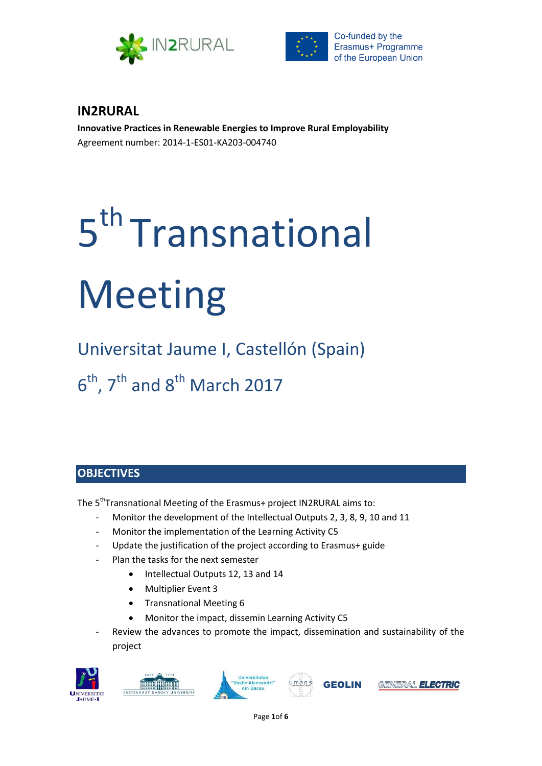



# **IN2RURAL**

**Innovative Practices in Renewable Energies to Improve Rural Employability** Agreement number: 2014-1-ES01-KA203-004740

# 5<sup>th</sup> Transnational Meeting

Universitat Jaume I, Castellón (Spain)  $6<sup>th</sup>$ , 7<sup>th</sup> and 8<sup>th</sup> March 2017

# **OBJECTIVES**

The 5<sup>th</sup>Transnational Meeting of the Erasmus+ project IN2RURAL aims to:

- Monitor the development of the Intellectual Outputs 2, 3, 8, 9, 10 and 11
- Monitor the implementation of the Learning Activity C5
- Update the justification of the project according to Erasmus+ guide
- Plan the tasks for the next semester
	- Intellectual Outputs 12, 13 and 14
	- Multiplier Event 3
	- Transnational Meeting 6
	- Monitor the impact, dissemin Learning Activity C5
- Review the advances to promote the impact, dissemination and sustainability of the project









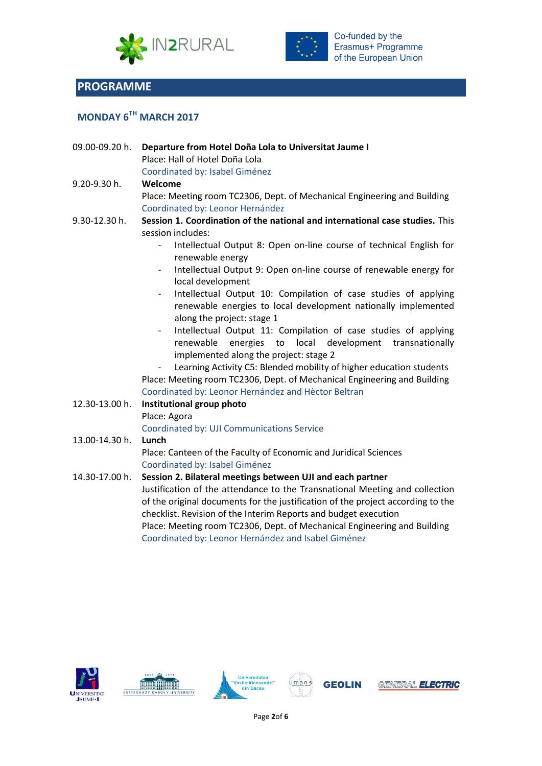



# **PROGRAMME**

# **MONDAY 6 TH MARCH 2017**

| 09.00-09.20 h. | Departure from Hotel Doña Lola to Universitat Jaume I<br>Place: Hall of Hotel Doña Lola<br>Coordinated by: Isabel Giménez                                                                                                                                                                                                                                                                                                                                                                                                                                                                                                                                                                                                                                                                                                                                                               |
|----------------|-----------------------------------------------------------------------------------------------------------------------------------------------------------------------------------------------------------------------------------------------------------------------------------------------------------------------------------------------------------------------------------------------------------------------------------------------------------------------------------------------------------------------------------------------------------------------------------------------------------------------------------------------------------------------------------------------------------------------------------------------------------------------------------------------------------------------------------------------------------------------------------------|
| 9.20-9.30 h.   | Welcome<br>Place: Meeting room TC2306, Dept. of Mechanical Engineering and Building<br>Coordinated by: Leonor Hernández                                                                                                                                                                                                                                                                                                                                                                                                                                                                                                                                                                                                                                                                                                                                                                 |
| 9.30-12.30 h.  | Session 1. Coordination of the national and international case studies. This<br>session includes:<br>Intellectual Output 8: Open on-line course of technical English for<br>renewable energy<br>Intellectual Output 9: Open on-line course of renewable energy for<br>local development<br>Intellectual Output 10: Compilation of case studies of applying<br>$\overline{\phantom{a}}$<br>renewable energies to local development nationally implemented<br>along the project: stage 1<br>Intellectual Output 11: Compilation of case studies of applying<br>local<br>development<br>renewable<br>energies<br>to<br>transnationally<br>implemented along the project: stage 2<br>Learning Activity C5: Blended mobility of higher education students<br>Place: Meeting room TC2306, Dept. of Mechanical Engineering and Building<br>Coordinated by: Leonor Hernández and Hèctor Beltran |
| 12.30-13.00 h. | Institutional group photo<br>Place: Agora<br>Coordinated by: UJI Communications Service                                                                                                                                                                                                                                                                                                                                                                                                                                                                                                                                                                                                                                                                                                                                                                                                 |
| 13.00-14.30 h. | Lunch<br>Place: Canteen of the Faculty of Economic and Juridical Sciences<br>Coordinated by: Isabel Giménez                                                                                                                                                                                                                                                                                                                                                                                                                                                                                                                                                                                                                                                                                                                                                                             |
| 14.30-17.00 h. | Session 2. Bilateral meetings between UJI and each partner<br>Justification of the attendance to the Transnational Meeting and collection<br>of the original documents for the justification of the project according to the<br>checklist. Revision of the Interim Reports and budget execution<br>Place: Meeting room TC2306, Dept. of Mechanical Engineering and Building<br>Coordinated by: Leonor Hernández and Isabel Giménez                                                                                                                                                                                                                                                                                                                                                                                                                                                      |











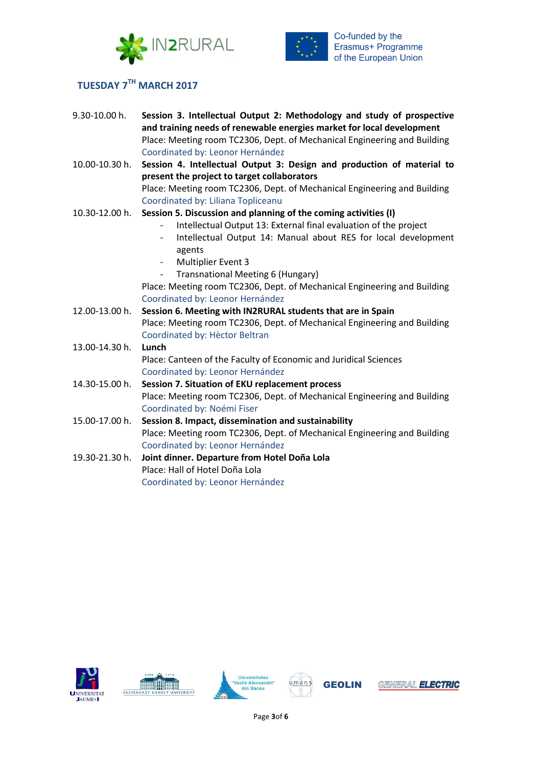



## **TUESDAY 7 TH MARCH 2017**

| 9.30-10.00 h.  | Session 3. Intellectual Output 2: Methodology and study of prospective                     |
|----------------|--------------------------------------------------------------------------------------------|
|                | and training needs of renewable energies market for local development                      |
|                | Place: Meeting room TC2306, Dept. of Mechanical Engineering and Building                   |
|                | Coordinated by: Leonor Hernández                                                           |
| 10.00-10.30 h. | Session 4. Intellectual Output 3: Design and production of material to                     |
|                | present the project to target collaborators                                                |
|                | Place: Meeting room TC2306, Dept. of Mechanical Engineering and Building                   |
|                | Coordinated by: Liliana Topliceanu                                                         |
| 10.30-12.00 h. | Session 5. Discussion and planning of the coming activities (I)                            |
|                | Intellectual Output 13: External final evaluation of the project                           |
|                | Intellectual Output 14: Manual about RES for local development<br>$\overline{\phantom{a}}$ |
|                | agents                                                                                     |
|                | <b>Multiplier Event 3</b><br>$\sim$                                                        |
|                | Transnational Meeting 6 (Hungary)<br>$\sim$                                                |
|                | Place: Meeting room TC2306, Dept. of Mechanical Engineering and Building                   |
|                | Coordinated by: Leonor Hernández                                                           |
| 12.00-13.00 h. | Session 6. Meeting with IN2RURAL students that are in Spain                                |
|                | Place: Meeting room TC2306, Dept. of Mechanical Engineering and Building                   |
|                | Coordinated by: Hèctor Beltran                                                             |
| 13.00-14.30 h. | Lunch                                                                                      |
|                | Place: Canteen of the Faculty of Economic and Juridical Sciences                           |
|                | Coordinated by: Leonor Hernández                                                           |
| 14.30-15.00 h. | Session 7. Situation of EKU replacement process                                            |
|                | Place: Meeting room TC2306, Dept. of Mechanical Engineering and Building                   |
|                | Coordinated by: Noémi Fiser                                                                |
| 15.00-17.00 h. | Session 8. Impact, dissemination and sustainability                                        |
|                | Place: Meeting room TC2306, Dept. of Mechanical Engineering and Building                   |
|                | Coordinated by: Leonor Hernández                                                           |
| 19.30-21.30 h. | Joint dinner. Departure from Hotel Doña Lola                                               |
|                | Place: Hall of Hotel Doña Lola                                                             |
|                | Coordinated by: Leonor Hernández                                                           |









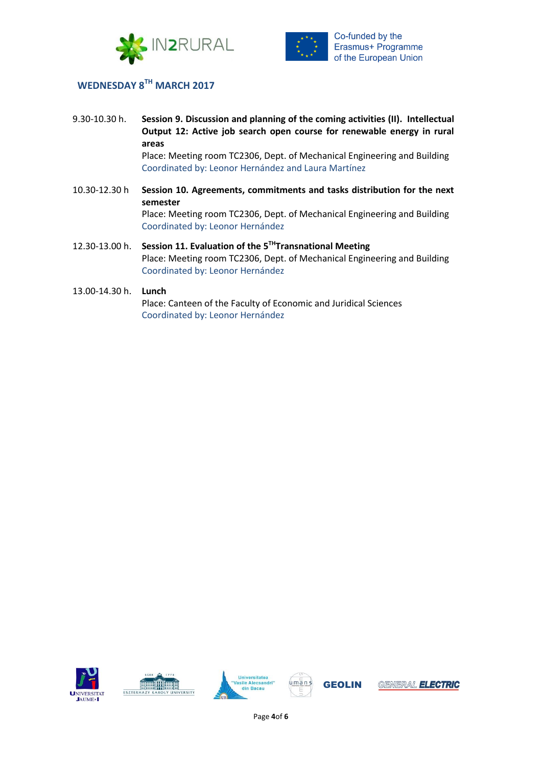



## **WEDNESDAY 8 TH MARCH 2017**

- 9.30-10.30 h. **Session 9. Discussion and planning of the coming activities (II). Intellectual Output 12: Active job search open course for renewable energy in rural areas** Place: Meeting room TC2306, Dept. of Mechanical Engineering and Building Coordinated by: Leonor Hernández and Laura Martínez 10.30-12.30 h **Session 10. Agreements, commitments and tasks distribution for the next semester** Place: Meeting room TC2306, Dept. of Mechanical Engineering and Building
- 12.30-13.00 h. **Session 11. Evaluation of the 5 THTransnational Meeting** Place: Meeting room TC2306, Dept. of Mechanical Engineering and Building Coordinated by: Leonor Hernández

Coordinated by: Leonor Hernández

#### 13.00-14.30 h. **Lunch**

Place: Canteen of the Faculty of Economic and Juridical Sciences Coordinated by: Leonor Hernández









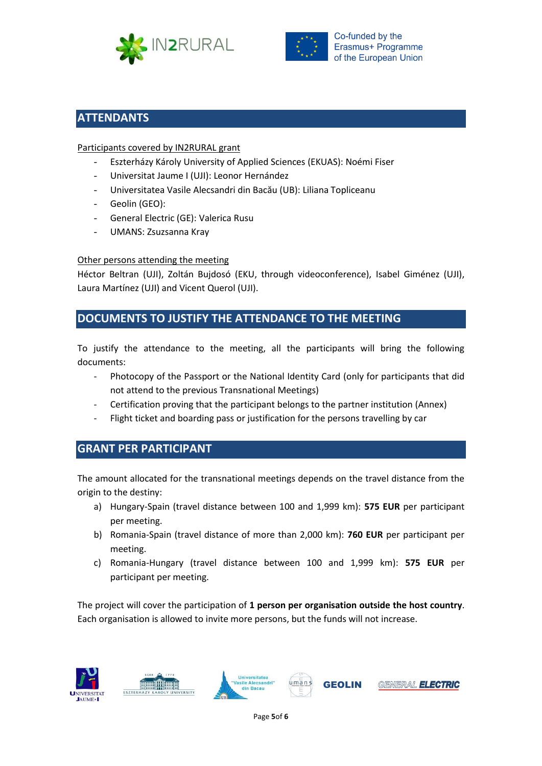



# **ATTENDANTS**

#### Participants covered by IN2RURAL grant

- Eszterházy Károly University of Applied Sciences (EKUAS): Noémi Fiser
- Universitat Jaume I (UJI): Leonor Hernández
- Universitatea Vasile Alecsandri din Bacău (UB): Liliana Topliceanu
- Geolin (GEO):
- General Electric (GE): Valerica Rusu
- UMANS: Zsuzsanna Kray

#### Other persons attending the meeting

Héctor Beltran (UJI), Zoltán Bujdosó (EKU, through videoconference), Isabel Giménez (UJI), Laura Martínez (UJI) and Vicent Querol (UJI).

# **DOCUMENTS TO JUSTIFY THE ATTENDANCE TO THE MEETING**

To justify the attendance to the meeting, all the participants will bring the following documents:

- Photocopy of the Passport or the National Identity Card (only for participants that did not attend to the previous Transnational Meetings)
- Certification proving that the participant belongs to the partner institution (Annex)
- Flight ticket and boarding pass or justification for the persons travelling by car

# **GRANT PER PARTICIPANT**

The amount allocated for the transnational meetings depends on the travel distance from the origin to the destiny:

- a) Hungary-Spain (travel distance between 100 and 1,999 km): **575 EUR** per participant per meeting.
- b) Romania-Spain (travel distance of more than 2,000 km): **760 EUR** per participant per meeting.
- c) Romania-Hungary (travel distance between 100 and 1,999 km): **575 EUR** per participant per meeting.

The project will cover the participation of **1 person per organisation outside the host country**. Each organisation is allowed to invite more persons, but the funds will not increase.